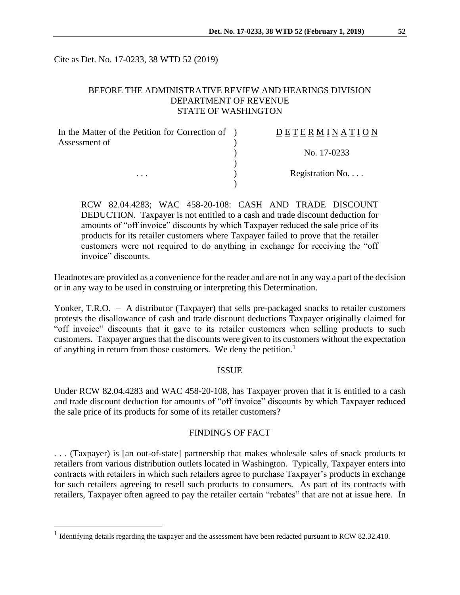Cite as Det. No. 17-0233, 38 WTD 52 (2019)

# BEFORE THE ADMINISTRATIVE REVIEW AND HEARINGS DIVISION DEPARTMENT OF REVENUE STATE OF WASHINGTON

| In the Matter of the Petition for Correction of ) | DETERMINATION            |
|---------------------------------------------------|--------------------------|
| Assessment of                                     |                          |
|                                                   | No. 17-0233              |
|                                                   |                          |
| $\cdots$                                          | Registration No. $\dots$ |
|                                                   |                          |

RCW 82.04.4283; WAC 458-20-108: CASH AND TRADE DISCOUNT DEDUCTION. Taxpayer is not entitled to a cash and trade discount deduction for amounts of "off invoice" discounts by which Taxpayer reduced the sale price of its products for its retailer customers where Taxpayer failed to prove that the retailer customers were not required to do anything in exchange for receiving the "off invoice" discounts.

Headnotes are provided as a convenience for the reader and are not in any way a part of the decision or in any way to be used in construing or interpreting this Determination.

Yonker, T.R.O. – A distributor (Taxpayer) that sells pre-packaged snacks to retailer customers protests the disallowance of cash and trade discount deductions Taxpayer originally claimed for "off invoice" discounts that it gave to its retailer customers when selling products to such customers. Taxpayer argues that the discounts were given to its customers without the expectation of anything in return from those customers. We deny the petition.<sup>1</sup>

#### ISSUE

Under RCW 82.04.4283 and WAC 458-20-108, has Taxpayer proven that it is entitled to a cash and trade discount deduction for amounts of "off invoice" discounts by which Taxpayer reduced the sale price of its products for some of its retailer customers?

### FINDINGS OF FACT

. . . (Taxpayer) is [an out-of-state] partnership that makes wholesale sales of snack products to retailers from various distribution outlets located in Washington. Typically, Taxpayer enters into contracts with retailers in which such retailers agree to purchase Taxpayer's products in exchange for such retailers agreeing to resell such products to consumers. As part of its contracts with retailers, Taxpayer often agreed to pay the retailer certain "rebates" that are not at issue here. In

 $\overline{a}$ 

<sup>&</sup>lt;sup>1</sup> Identifying details regarding the taxpayer and the assessment have been redacted pursuant to RCW 82.32.410.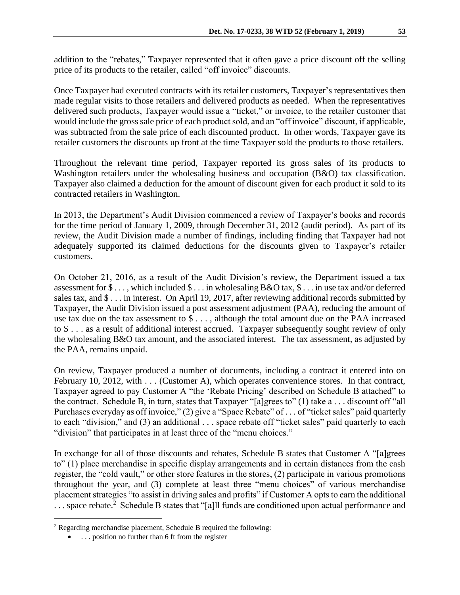addition to the "rebates," Taxpayer represented that it often gave a price discount off the selling price of its products to the retailer, called "off invoice" discounts.

Once Taxpayer had executed contracts with its retailer customers, Taxpayer's representatives then made regular visits to those retailers and delivered products as needed. When the representatives delivered such products, Taxpayer would issue a "ticket," or invoice, to the retailer customer that would include the gross sale price of each product sold, and an "off invoice" discount, if applicable, was subtracted from the sale price of each discounted product. In other words, Taxpayer gave its retailer customers the discounts up front at the time Taxpayer sold the products to those retailers.

Throughout the relevant time period, Taxpayer reported its gross sales of its products to Washington retailers under the wholesaling business and occupation (B&O) tax classification. Taxpayer also claimed a deduction for the amount of discount given for each product it sold to its contracted retailers in Washington.

In 2013, the Department's Audit Division commenced a review of Taxpayer's books and records for the time period of January 1, 2009, through December 31, 2012 (audit period). As part of its review, the Audit Division made a number of findings, including finding that Taxpayer had not adequately supported its claimed deductions for the discounts given to Taxpayer's retailer customers.

On October 21, 2016, as a result of the Audit Division's review, the Department issued a tax assessment for \$ . . . , which included \$ . . . in wholesaling B&O tax, \$ . . . in use tax and/or deferred sales tax, and \$ . . . in interest. On April 19, 2017, after reviewing additional records submitted by Taxpayer, the Audit Division issued a post assessment adjustment (PAA), reducing the amount of use tax due on the tax assessment to \$ . . . , although the total amount due on the PAA increased to \$ . . . as a result of additional interest accrued. Taxpayer subsequently sought review of only the wholesaling B&O tax amount, and the associated interest. The tax assessment, as adjusted by the PAA, remains unpaid.

On review, Taxpayer produced a number of documents, including a contract it entered into on February 10, 2012, with . . . (Customer A), which operates convenience stores. In that contract, Taxpayer agreed to pay Customer A "the 'Rebate Pricing' described on Schedule B attached" to the contract. Schedule B, in turn, states that Taxpayer "[a]grees to" (1) take a . . . discount off "all Purchases everyday as off invoice," (2) give a "Space Rebate" of ... of "ticket sales" paid quarterly to each "division," and (3) an additional . . . space rebate off "ticket sales" paid quarterly to each "division" that participates in at least three of the "menu choices."

In exchange for all of those discounts and rebates, Schedule B states that Customer A "[a]grees to" (1) place merchandise in specific display arrangements and in certain distances from the cash register, the "cold vault," or other store features in the stores, (2) participate in various promotions throughout the year, and (3) complete at least three "menu choices" of various merchandise placement strategies "to assist in driving sales and profits" if Customer A opts to earn the additional ... space rebate.<sup>2</sup> Schedule B states that "[a]ll funds are conditioned upon actual performance and

 $\overline{a}$ 

<sup>&</sup>lt;sup>2</sup> Regarding merchandise placement, Schedule B required the following:

. . . position no further than 6 ft from the register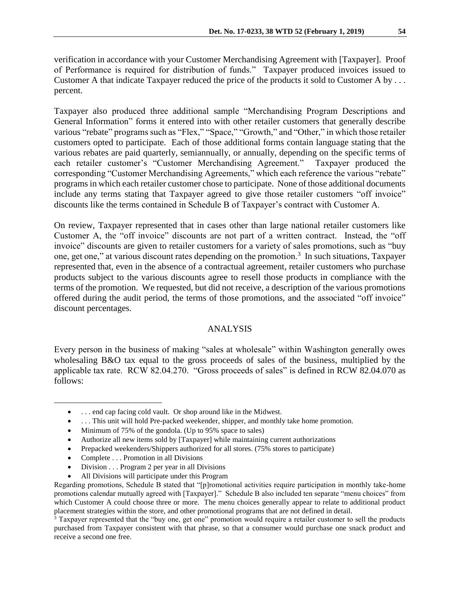verification in accordance with your Customer Merchandising Agreement with [Taxpayer]. Proof of Performance is required for distribution of funds." Taxpayer produced invoices issued to Customer A that indicate Taxpayer reduced the price of the products it sold to Customer A by . . . percent.

Taxpayer also produced three additional sample "Merchandising Program Descriptions and General Information" forms it entered into with other retailer customers that generally describe various "rebate" programs such as "Flex," "Space," "Growth," and "Other," in which those retailer customers opted to participate. Each of those additional forms contain language stating that the various rebates are paid quarterly, semiannually, or annually, depending on the specific terms of each retailer customer's "Customer Merchandising Agreement." Taxpayer produced the corresponding "Customer Merchandising Agreements," which each reference the various "rebate" programs in which each retailer customer chose to participate. None of those additional documents include any terms stating that Taxpayer agreed to give those retailer customers "off invoice" discounts like the terms contained in Schedule B of Taxpayer's contract with Customer A.

On review, Taxpayer represented that in cases other than large national retailer customers like Customer A, the "off invoice" discounts are not part of a written contract. Instead, the "off invoice" discounts are given to retailer customers for a variety of sales promotions, such as "buy one, get one," at various discount rates depending on the promotion.<sup>3</sup> In such situations, Taxpayer represented that, even in the absence of a contractual agreement, retailer customers who purchase products subject to the various discounts agree to resell those products in compliance with the terms of the promotion. We requested, but did not receive, a description of the various promotions offered during the audit period, the terms of those promotions, and the associated "off invoice" discount percentages.

### ANALYSIS

Every person in the business of making "sales at wholesale" within Washington generally owes wholesaling B&O tax equal to the gross proceeds of sales of the business, multiplied by the applicable tax rate. RCW 82.04.270. "Gross proceeds of sales" is defined in RCW 82.04.070 as follows:

- . . . This unit will hold Pre-packed weekender, shipper, and monthly take home promotion.
- Minimum of 75% of the gondola. (Up to 95% space to sales)
- Authorize all new items sold by [Taxpayer] while maintaining current authorizations
- Prepacked weekenders/Shippers authorized for all stores. (75% stores to participate)
- Complete . . . Promotion in all Divisions

 $\overline{a}$ 

- Division . . . Program 2 per year in all Divisions
- All Divisions will participate under this Program

. . . end cap facing cold vault. Or shop around like in the Midwest.

Regarding promotions, Schedule B stated that "[p]romotional activities require participation in monthly take-home promotions calendar mutually agreed with [Taxpayer]." Schedule B also included ten separate "menu choices" from which Customer A could choose three or more. The menu choices generally appear to relate to additional product placement strategies within the store, and other promotional programs that are not defined in detail.

<sup>&</sup>lt;sup>3</sup> Taxpayer represented that the "buy one, get one" promotion would require a retailer customer to sell the products purchased from Taxpayer consistent with that phrase, so that a consumer would purchase one snack product and receive a second one free.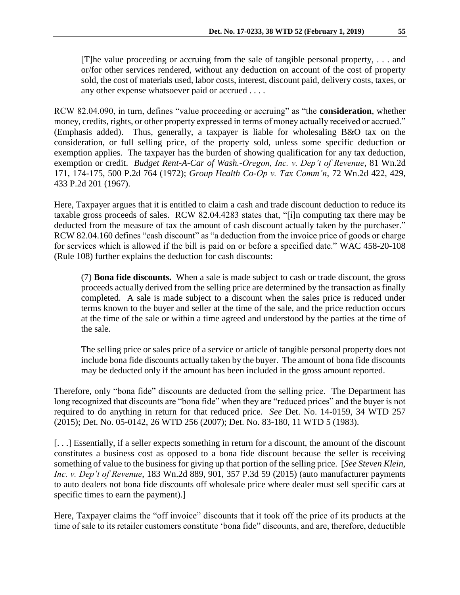RCW 82.04.090, in turn, defines "value proceeding or accruing" as "the **consideration**, whether money, credits, rights, or other property expressed in terms of money actually received or accrued." (Emphasis added). Thus, generally, a taxpayer is liable for wholesaling B&O tax on the consideration, or full selling price, of the property sold, unless some specific deduction or exemption applies. The taxpayer has the burden of showing qualification for any tax deduction, exemption or credit. *Budget Rent-A-Car of Wash.-Oregon, Inc. v. Dep't of Revenue*, 81 Wn.2d 171, 174-175, 500 P.2d 764 (1972); *Group Health Co-Op v. Tax Comm'n*, 72 Wn.2d 422, 429, 433 P.2d 201 (1967).

any other expense whatsoever paid or accrued . . . .

Here, Taxpayer argues that it is entitled to claim a cash and trade discount deduction to reduce its taxable gross proceeds of sales. RCW 82.04.4283 states that, "[i]n computing tax there may be deducted from the measure of tax the amount of cash discount actually taken by the purchaser." RCW 82.04.160 defines "cash discount" as "a deduction from the invoice price of goods or charge for services which is allowed if the bill is paid on or before a specified date." WAC 458-20-108 (Rule 108) further explains the deduction for cash discounts:

(7) **Bona fide discounts.** When a sale is made subject to cash or trade discount, the gross proceeds actually derived from the selling price are determined by the transaction as finally completed. A sale is made subject to a discount when the sales price is reduced under terms known to the buyer and seller at the time of the sale, and the price reduction occurs at the time of the sale or within a time agreed and understood by the parties at the time of the sale.

The selling price or sales price of a service or article of tangible personal property does not include bona fide discounts actually taken by the buyer. The amount of bona fide discounts may be deducted only if the amount has been included in the gross amount reported.

Therefore, only "bona fide" discounts are deducted from the selling price. The Department has long recognized that discounts are "bona fide" when they are "reduced prices" and the buyer is not required to do anything in return for that reduced price. *See* Det. No. 14-0159, 34 WTD 257 (2015); Det. No. 05-0142, 26 WTD 256 (2007); Det. No. 83-180, 11 WTD 5 (1983).

[. . .] Essentially, if a seller expects something in return for a discount, the amount of the discount constitutes a business cost as opposed to a bona fide discount because the seller is receiving something of value to the business for giving up that portion of the selling price. [*See Steven Klein, Inc. v. Dep't of Revenue*, 183 Wn.2d 889, 901, 357 P.3d 59 (2015) (auto manufacturer payments to auto dealers not bona fide discounts off wholesale price where dealer must sell specific cars at specific times to earn the payment).]

Here, Taxpayer claims the "off invoice" discounts that it took off the price of its products at the time of sale to its retailer customers constitute 'bona fide" discounts, and are, therefore, deductible